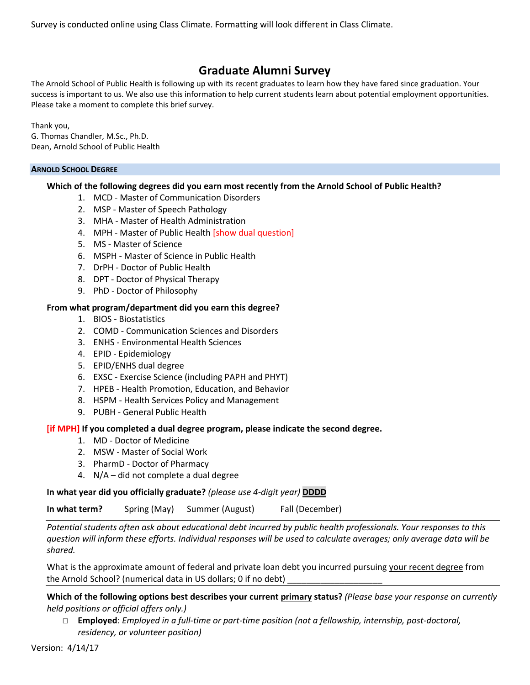Survey is conducted online using Class Climate. Formatting will look different in Class Climate.

# **Graduate Alumni Survey**

The Arnold School of Public Health is following up with its recent graduates to learn how they have fared since graduation. Your success is important to us. We also use this information to help current students learn about potential employment opportunities. Please take a moment to complete this brief survey.

Thank you, G. Thomas Chandler, M.Sc., Ph.D. Dean, Arnold School of Public Health

## **ARNOLD SCHOOL DEGREE**

# **Which of the following degrees did you earn most recently from the Arnold School of Public Health?**

- 1. MCD Master of Communication Disorders
- 2. MSP Master of Speech Pathology
- 3. MHA Master of Health Administration
- 4. MPH Master of Public Health [show dual question]
- 5. MS Master of Science
- 6. MSPH Master of Science in Public Health
- 7. DrPH Doctor of Public Health
- 8. DPT Doctor of Physical Therapy
- 9. PhD Doctor of Philosophy

# **From what program/department did you earn this degree?**

- 1. BIOS Biostatistics
- 2. COMD Communication Sciences and Disorders
- 3. ENHS Environmental Health Sciences
- 4. EPID Epidemiology
- 5. EPID/ENHS dual degree
- 6. EXSC Exercise Science (including PAPH and PHYT)
- 7. HPEB Health Promotion, Education, and Behavior
- 8. HSPM Health Services Policy and Management
- 9. PUBH General Public Health

## **[if MPH] If you completed a dual degree program, please indicate the second degree.**

- 1. MD Doctor of Medicine
- 2. MSW Master of Social Work
- 3. PharmD Doctor of Pharmacy
- 4. N/A did not complete a dual degree

**In what year did you officially graduate?** *(please use 4-digit year)* **DDDD**

**In what term?** Spring (May) Summer (August) Fall (December)

*Potential students often ask about educational debt incurred by public health professionals. Your responses to this question will inform these efforts. Individual responses will be used to calculate averages; only average data will be shared.*

What is the approximate amount of federal and private loan debt you incurred pursuing your recent degree from the Arnold School? (numerical data in US dollars; 0 if no debt)

**Which of the following options best describes your current primary status?** *(Please base your response on currently held positions or official offers only.)*

□ **Employed**: *Employed in a full-time or part-time position (not a fellowship, internship, post-doctoral, residency, or volunteer position)*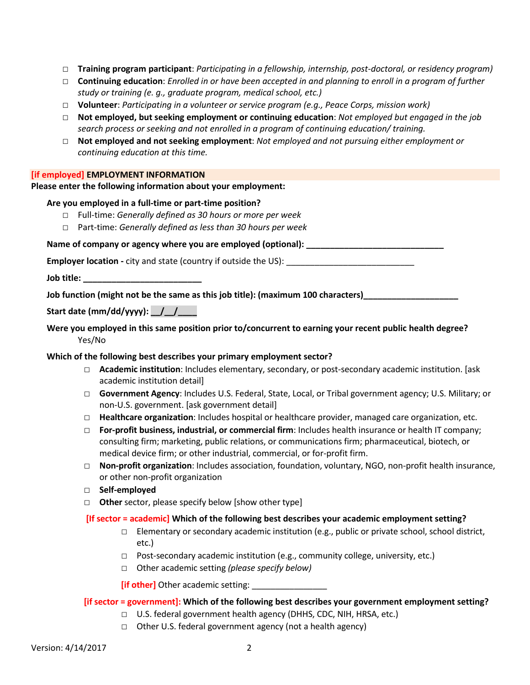- □ **Training program participant**: *Participating in a fellowship, internship, post-doctoral, or residency program)*
- □ **Continuing education**: *Enrolled in or have been accepted in and planning to enroll in a program of further study or training (e. g., graduate program, medical school, etc.)*
- □ **Volunteer**: *Participating in a volunteer or service program (e.g., Peace Corps, mission work)*
- □ **Not employed, but seeking employment or continuing education**: *Not employed but engaged in the job search process or seeking and not enrolled in a program of continuing education/ training.*
- □ **Not employed and not seeking employment**: *Not employed and not pursuing either employment or continuing education at this time.*

### **[if employed] EMPLOYMENT INFORMATION**

## **Please enter the following information about your employment:**

## **Are you employed in a full-time or part-time position?**

- □ Full-time: *Generally defined as 30 hours or more per week*
- □ Part-time: *Generally defined as less than 30 hours per week*

Name of company or agency where you are employed (optional):

**Employer location** - city and state (country if outside the US):

**Job title: \_\_\_\_\_\_\_\_\_\_\_\_\_\_\_\_\_\_\_\_\_\_\_\_\_**

**Job function (might not be the same as this job title): (maximum 100 characters)\_\_\_\_\_\_\_\_\_\_\_\_\_\_\_\_\_\_\_\_**

# **Start date (mm/dd/yyyy): \_\_/\_\_/\_\_\_\_**

# **Were you employed in this same position prior to/concurrent to earning your recent public health degree?** Yes/No

## **Which of the following best describes your primary employment sector?**

- □ **Academic institution**: Includes elementary, secondary, or post-secondary academic institution. [ask academic institution detail]
- □ **Government Agency**: Includes U.S. Federal, State, Local, or Tribal government agency; U.S. Military; or non-U.S. government. [ask government detail]
- □ **Healthcare organization**: Includes hospital or healthcare provider, managed care organization, etc.
- □ **For-profit business, industrial, or commercial firm**: Includes health insurance or health IT company; consulting firm; marketing, public relations, or communications firm; pharmaceutical, biotech, or medical device firm; or other industrial, commercial, or for-profit firm.
- □ **Non-profit organization**: Includes association, foundation, voluntary, NGO, non-profit health insurance, or other non-profit organization
- □ **Self-employed**
- □ **Other** sector, please specify below [show other type]

#### **[If sector = academic] Which of the following best describes your academic employment setting?**

- $\square$  Elementary or secondary academic institution (e.g., public or private school, school district, etc.)
- □ Post-secondary academic institution (e.g., community college, university, etc.)
- □ Other academic setting *(please specify below)*

**[if other]** Other academic setting: *\_\_\_\_\_\_\_\_\_\_\_\_\_\_\_\_\_\_\_\_* 

## **[if sector = government]: Which of the following best describes your government employment setting?**

- □ U.S. federal government health agency (DHHS, CDC, NIH, HRSA, etc.)
- □ Other U.S. federal government agency (not a health agency)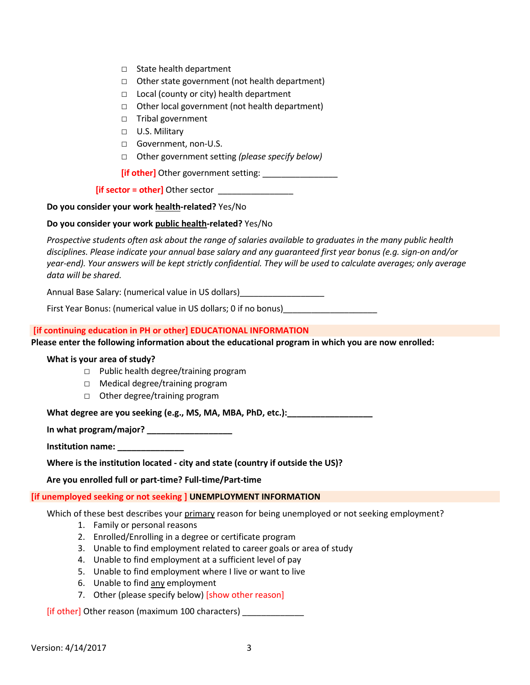- □ State health department
- □ Other state government (not health department)
- □ Local (county or city) health department
- □ Other local government (not health department)
- □ Tribal government
- □ U.S. Military
- □ Government, non-U.S.
- □ Other government setting *(please specify below)*

**[if other]** Other government setting: \_\_\_\_\_\_\_\_\_\_\_\_\_\_\_\_

**[if sector = other]** Other sector

**Do you consider your work health-related?** Yes/No

**Do you consider your work public health-related?** Yes/No

*Prospective students often ask about the range of salaries available to graduates in the many public health disciplines. Please indicate your annual base salary and any guaranteed first year bonus (e.g. sign-on and/or year-end). Your answers will be kept strictly confidential. They will be used to calculate averages; only average data will be shared.*

Annual Base Salary: (numerical value in US dollars)\_\_\_\_\_\_\_\_\_\_\_\_\_\_\_\_\_\_

First Year Bonus: (numerical value in US dollars; 0 if no bonus) \_\_\_\_\_\_\_\_\_\_\_\_\_\_\_

## **[if continuing education in PH or other] EDUCATIONAL INFORMATION**

**Please enter the following information about the educational program in which you are now enrolled:**

## **What is your area of study?**

- □ Public health degree/training program
- □ Medical degree/training program
- □ Other degree/training program

What degree are you seeking (e.g., MS, MA, MBA, PhD, etc.): **with the same of the set of the set of the set of the set of the set of the set of the set of the set of the set of the set of the set of the set of the set of t** 

**In what program/major? \_\_\_\_\_\_\_\_\_\_\_\_\_\_\_\_\_\_**

**Institution name: \_\_\_\_\_\_\_\_\_\_\_\_\_\_**

**Where is the institution located - city and state (country if outside the US)?**

## **Are you enrolled full or part-time? Full-time/Part-time**

## **[if unemployed seeking or not seeking ] UNEMPLOYMENT INFORMATION**

Which of these best describes your primary reason for being unemployed or not seeking employment?

- 1. Family or personal reasons
- 2. Enrolled/Enrolling in a degree or certificate program
- 3. Unable to find employment related to career goals or area of study
- 4. Unable to find employment at a sufficient level of pay
- 5. Unable to find employment where I live or want to live
- 6. Unable to find any employment
- 7. Other (please specify below) [show other reason]

[if other] Other reason (maximum 100 characters) \_\_\_\_\_\_\_\_\_\_\_\_\_\_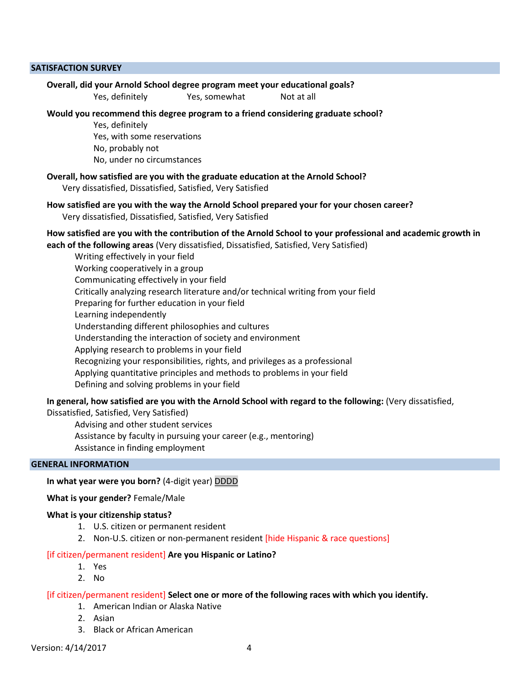#### **SATISFACTION SURVEY**

#### **Overall, did your Arnold School degree program meet your educational goals?**

Yes, definitely Yes, somewhat Not at all

#### **Would you recommend this degree program to a friend considering graduate school?**

Yes, definitely Yes, with some reservations No, probably not No, under no circumstances

#### **Overall, how satisfied are you with the graduate education at the Arnold School?**

Very dissatisfied, Dissatisfied, Satisfied, Very Satisfied

# **How satisfied are you with the way the Arnold School prepared your for your chosen career?** Very dissatisfied, Dissatisfied, Satisfied, Very Satisfied

## **How satisfied are you with the contribution of the Arnold School to your professional and academic growth in**

**each of the following areas** (Very dissatisfied, Dissatisfied, Satisfied, Very Satisfied)

Writing effectively in your field Working cooperatively in a group Communicating effectively in your field Critically analyzing research literature and/or technical writing from your field Preparing for further education in your field Learning independently Understanding different philosophies and cultures Understanding the interaction of society and environment Applying research to problems in your field Recognizing your responsibilities, rights, and privileges as a professional Applying quantitative principles and methods to problems in your field Defining and solving problems in your field

**In general, how satisfied are you with the Arnold School with regard to the following:** (Very dissatisfied,

Dissatisfied, Satisfied, Very Satisfied)

Advising and other student services Assistance by faculty in pursuing your career (e.g., mentoring) Assistance in finding employment

### **GENERAL INFORMATION**

#### **In what year were you born?** (4-digit year) DDDD

### **What is your gender?** Female/Male

#### **What is your citizenship status?**

- 1. U.S. citizen or permanent resident
- 2. Non-U.S. citizen or non-permanent resident [hide Hispanic & race questions]

#### [if citizen/permanent resident] **Are you Hispanic or Latino?**

- 1. Yes
- 2. No

### [if citizen/permanent resident] **Select one or more of the following races with which you identify.**

- 1. American Indian or Alaska Native
- 2. Asian
- 3. Black or African American